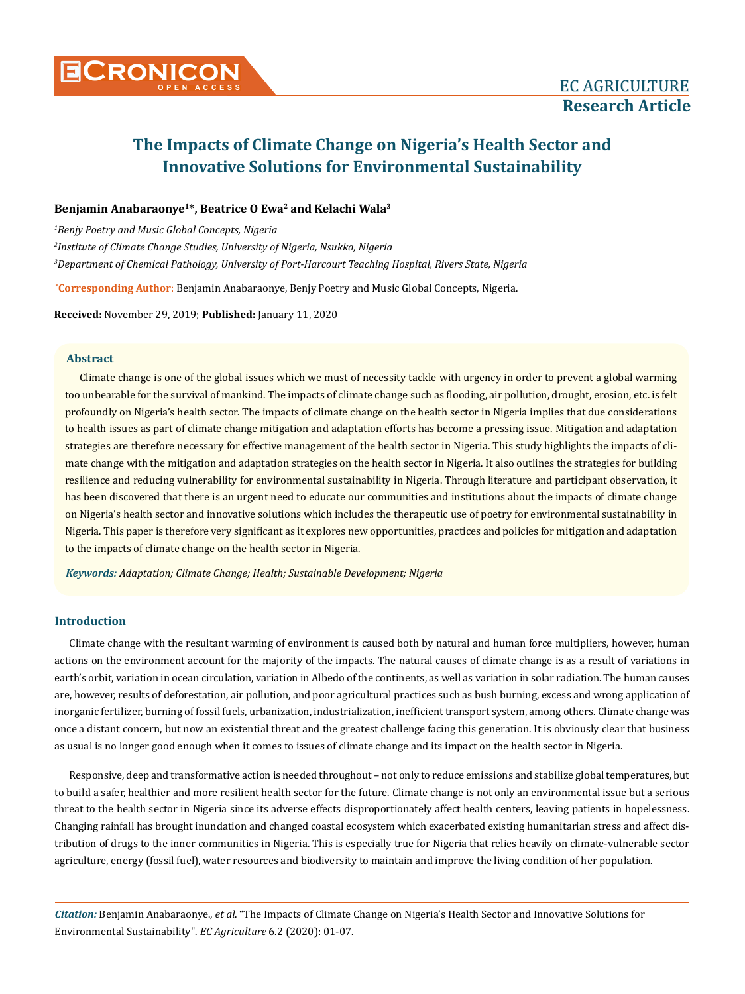## **Benjamin Anabaraonye1\*, Beatrice O Ewa2 and Kelachi Wala3**

*1 Benjy Poetry and Music Global Concepts, Nigeria 2 Institute of Climate Change Studies, University of Nigeria, Nsukka, Nigeria 3 Department of Chemical Pathology, University of Port-Harcourt Teaching Hospital, Rivers State, Nigeria*

**\* Corresponding Author**: Benjamin Anabaraonye, Benjy Poetry and Music Global Concepts, Nigeria.

**Received:** November 29, 2019; **Published:** January 11, 2020

#### **Abstract**

Climate change is one of the global issues which we must of necessity tackle with urgency in order to prevent a global warming too unbearable for the survival of mankind. The impacts of climate change such as flooding, air pollution, drought, erosion, etc. is felt profoundly on Nigeria's health sector. The impacts of climate change on the health sector in Nigeria implies that due considerations to health issues as part of climate change mitigation and adaptation efforts has become a pressing issue. Mitigation and adaptation strategies are therefore necessary for effective management of the health sector in Nigeria. This study highlights the impacts of climate change with the mitigation and adaptation strategies on the health sector in Nigeria. It also outlines the strategies for building resilience and reducing vulnerability for environmental sustainability in Nigeria. Through literature and participant observation, it has been discovered that there is an urgent need to educate our communities and institutions about the impacts of climate change on Nigeria's health sector and innovative solutions which includes the therapeutic use of poetry for environmental sustainability in Nigeria. This paper is therefore very significant as it explores new opportunities, practices and policies for mitigation and adaptation to the impacts of climate change on the health sector in Nigeria.

*Keywords: Adaptation; Climate Change; Health; Sustainable Development; Nigeria* 

## **Introduction**

Climate change with the resultant warming of environment is caused both by natural and human force multipliers, however, human actions on the environment account for the majority of the impacts. The natural causes of climate change is as a result of variations in earth's orbit, variation in ocean circulation, variation in Albedo of the continents, as well as variation in solar radiation. The human causes are, however, results of deforestation, air pollution, and poor agricultural practices such as bush burning, excess and wrong application of inorganic fertilizer, burning of fossil fuels, urbanization, industrialization, inefficient transport system, among others. Climate change was once a distant concern, but now an existential threat and the greatest challenge facing this generation. It is obviously clear that business as usual is no longer good enough when it comes to issues of climate change and its impact on the health sector in Nigeria.

Responsive, deep and transformative action is needed throughout – not only to reduce emissions and stabilize global temperatures, but to build a safer, healthier and more resilient health sector for the future. Climate change is not only an environmental issue but a serious threat to the health sector in Nigeria since its adverse effects disproportionately affect health centers, leaving patients in hopelessness. Changing rainfall has brought inundation and changed coastal ecosystem which exacerbated existing humanitarian stress and affect distribution of drugs to the inner communities in Nigeria. This is especially true for Nigeria that relies heavily on climate-vulnerable sector agriculture, energy (fossil fuel), water resources and biodiversity to maintain and improve the living condition of her population.

*Citation:* Benjamin Anabaraonye., *et al*. "The Impacts of Climate Change on Nigeria's Health Sector and Innovative Solutions for Environmental Sustainability". *EC Agriculture* 6.2 (2020): 01-07.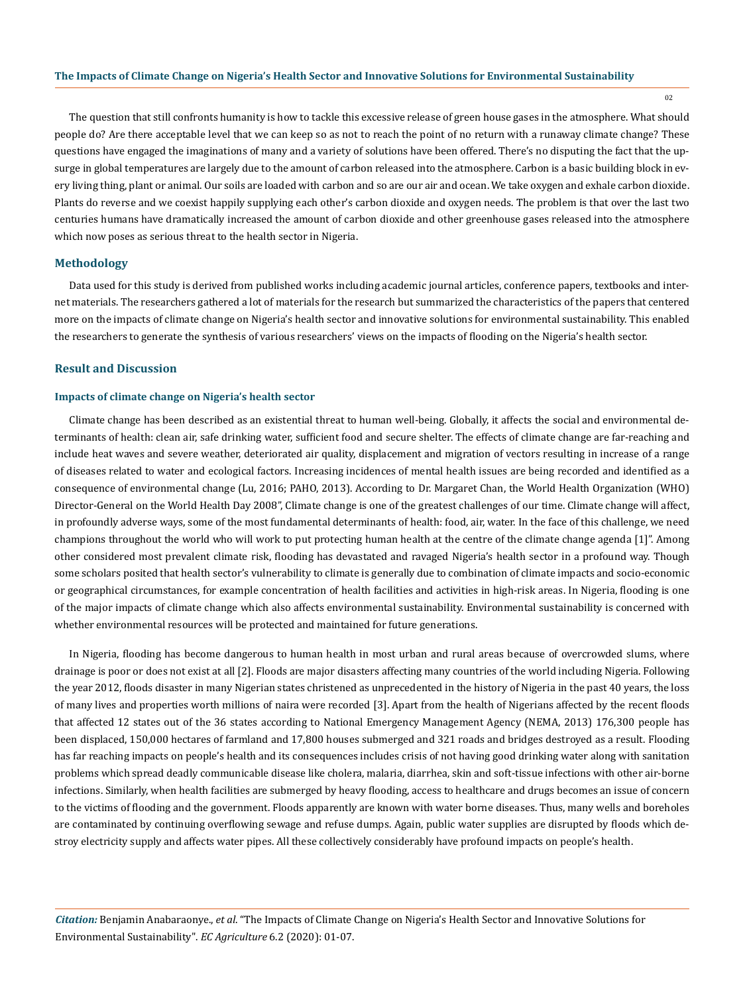02

The question that still confronts humanity is how to tackle this excessive release of green house gases in the atmosphere. What should people do? Are there acceptable level that we can keep so as not to reach the point of no return with a runaway climate change? These questions have engaged the imaginations of many and a variety of solutions have been offered. There's no disputing the fact that the upsurge in global temperatures are largely due to the amount of carbon released into the atmosphere. Carbon is a basic building block in every living thing, plant or animal. Our soils are loaded with carbon and so are our air and ocean. We take oxygen and exhale carbon dioxide. Plants do reverse and we coexist happily supplying each other's carbon dioxide and oxygen needs. The problem is that over the last two centuries humans have dramatically increased the amount of carbon dioxide and other greenhouse gases released into the atmosphere which now poses as serious threat to the health sector in Nigeria.

#### **Methodology**

Data used for this study is derived from published works including academic journal articles, conference papers, textbooks and internet materials. The researchers gathered a lot of materials for the research but summarized the characteristics of the papers that centered more on the impacts of climate change on Nigeria's health sector and innovative solutions for environmental sustainability. This enabled the researchers to generate the synthesis of various researchers' views on the impacts of flooding on the Nigeria's health sector.

#### **Result and Discussion**

## **Impacts of climate change on Nigeria's health sector**

Climate change has been described as an existential threat to human well-being. Globally, it affects the social and environmental determinants of health: clean air, safe drinking water, sufficient food and secure shelter. The effects of climate change are far-reaching and include heat waves and severe weather, deteriorated air quality, displacement and migration of vectors resulting in increase of a range of diseases related to water and ecological factors. Increasing incidences of mental health issues are being recorded and identified as a consequence of environmental change (Lu, 2016; PAHO, 2013). According to Dr. Margaret Chan, the World Health Organization (WHO) Director-General on the World Health Day 2008", Climate change is one of the greatest challenges of our time. Climate change will affect, in profoundly adverse ways, some of the most fundamental determinants of health: food, air, water. In the face of this challenge, we need champions throughout the world who will work to put protecting human health at the centre of the climate change agenda [1]". Among other considered most prevalent climate risk, flooding has devastated and ravaged Nigeria's health sector in a profound way. Though some scholars posited that health sector's vulnerability to climate is generally due to combination of climate impacts and socio-economic or geographical circumstances, for example concentration of health facilities and activities in high-risk areas. In Nigeria, flooding is one of the major impacts of climate change which also affects environmental sustainability. Environmental sustainability is concerned with whether environmental resources will be protected and maintained for future generations.

In Nigeria, flooding has become dangerous to human health in most urban and rural areas because of overcrowded slums, where drainage is poor or does not exist at all [2]. Floods are major disasters affecting many countries of the world including Nigeria. Following the year 2012, floods disaster in many Nigerian states christened as unprecedented in the history of Nigeria in the past 40 years, the loss of many lives and properties worth millions of naira were recorded [3]. Apart from the health of Nigerians affected by the recent floods that affected 12 states out of the 36 states according to National Emergency Management Agency (NEMA, 2013) 176,300 people has been displaced, 150,000 hectares of farmland and 17,800 houses submerged and 321 roads and bridges destroyed as a result. Flooding has far reaching impacts on people's health and its consequences includes crisis of not having good drinking water along with sanitation problems which spread deadly communicable disease like cholera, malaria, diarrhea, skin and soft-tissue infections with other air-borne infections. Similarly, when health facilities are submerged by heavy flooding, access to healthcare and drugs becomes an issue of concern to the victims of flooding and the government. Floods apparently are known with water borne diseases. Thus, many wells and boreholes are contaminated by continuing overflowing sewage and refuse dumps. Again, public water supplies are disrupted by floods which destroy electricity supply and affects water pipes. All these collectively considerably have profound impacts on people's health.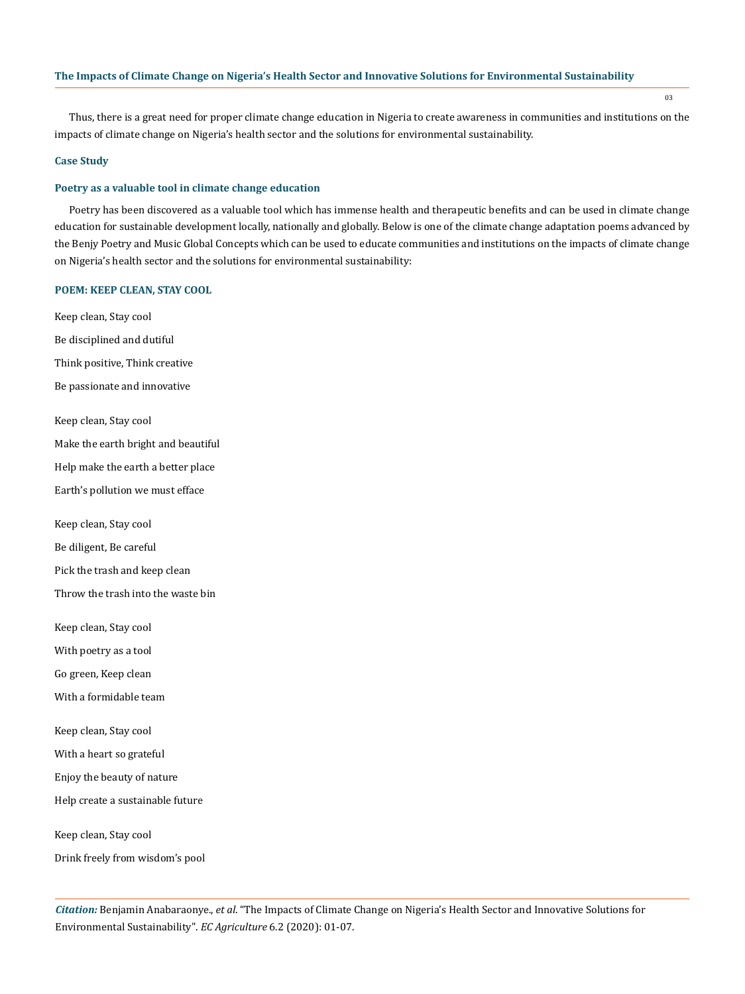03

Thus, there is a great need for proper climate change education in Nigeria to create awareness in communities and institutions on the impacts of climate change on Nigeria's health sector and the solutions for environmental sustainability.

#### **Case Study**

#### **Poetry as a valuable tool in climate change education**

Poetry has been discovered as a valuable tool which has immense health and therapeutic benefits and can be used in climate change education for sustainable development locally, nationally and globally. Below is one of the climate change adaptation poems advanced by the Benjy Poetry and Music Global Concepts which can be used to educate communities and institutions on the impacts of climate change on Nigeria's health sector and the solutions for environmental sustainability:

#### **POEM: KEEP CLEAN, STAY COOL**

Keep clean, Stay cool Be disciplined and dutiful Think positive, Think creative Be passionate and innovative Keep clean, Stay cool Make the earth bright and beautiful Help make the earth a better place Earth's pollution we must efface Keep clean, Stay cool Be diligent, Be careful Pick the trash and keep clean Throw the trash into the waste bin Keep clean, Stay cool With poetry as a tool Go green, Keep clean With a formidable team Keep clean, Stay cool With a heart so grateful Enjoy the beauty of nature Help create a sustainable future Keep clean, Stay cool

Drink freely from wisdom's pool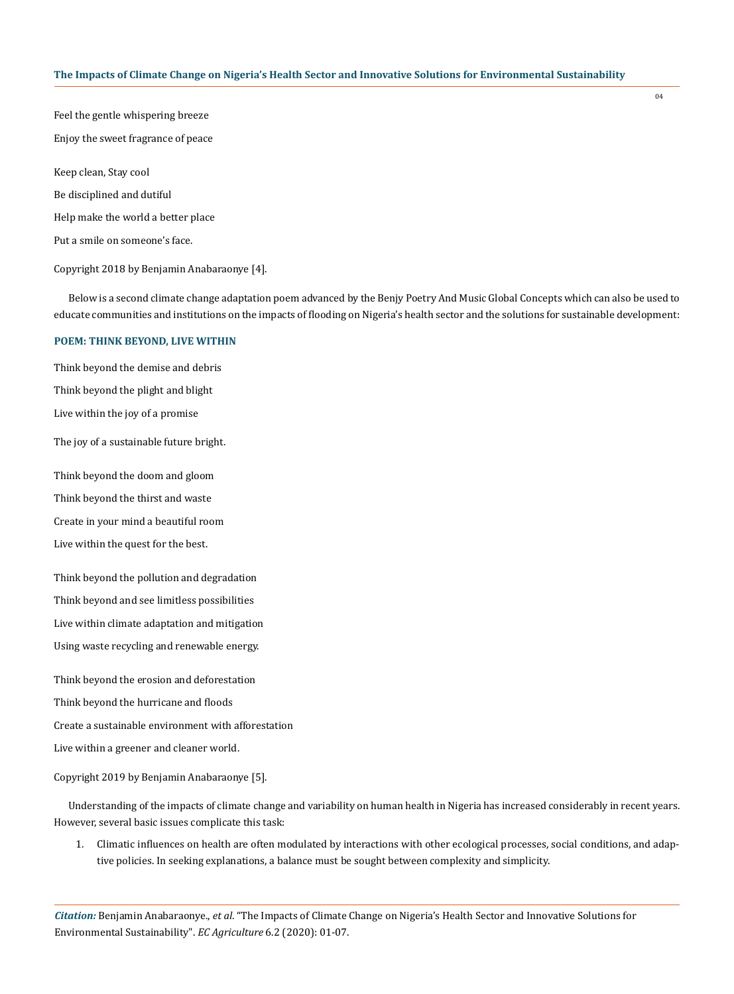04

Feel the gentle whispering breeze Enjoy the sweet fragrance of peace Keep clean, Stay cool Be disciplined and dutiful

Help make the world a better place

Put a smile on someone's face.

Copyright 2018 by Benjamin Anabaraonye [4].

Below is a second climate change adaptation poem advanced by the Benjy Poetry And Music Global Concepts which can also be used to educate communities and institutions on the impacts of flooding on Nigeria's health sector and the solutions for sustainable development:

#### **POEM: THINK BEYOND, LIVE WITHIN**

Think beyond the demise and debris Think beyond the plight and blight Live within the joy of a promise The joy of a sustainable future bright. Think beyond the doom and gloom Think beyond the thirst and waste Create in your mind a beautiful room Live within the quest for the best. Think beyond the pollution and degradation Think beyond and see limitless possibilities Live within climate adaptation and mitigation Using waste recycling and renewable energy. Think beyond the erosion and deforestation Think beyond the hurricane and floods Create a sustainable environment with afforestation

Live within a greener and cleaner world.

Copyright 2019 by Benjamin Anabaraonye [5].

Understanding of the impacts of climate change and variability on human health in Nigeria has increased considerably in recent years. However, several basic issues complicate this task:

1. Climatic influences on health are often modulated by interactions with other ecological processes, social conditions, and adaptive policies. In seeking explanations, a balance must be sought between complexity and simplicity.

*Citation:* Benjamin Anabaraonye., *et al*. "The Impacts of Climate Change on Nigeria's Health Sector and Innovative Solutions for Environmental Sustainability". *EC Agriculture* 6.2 (2020): 01-07.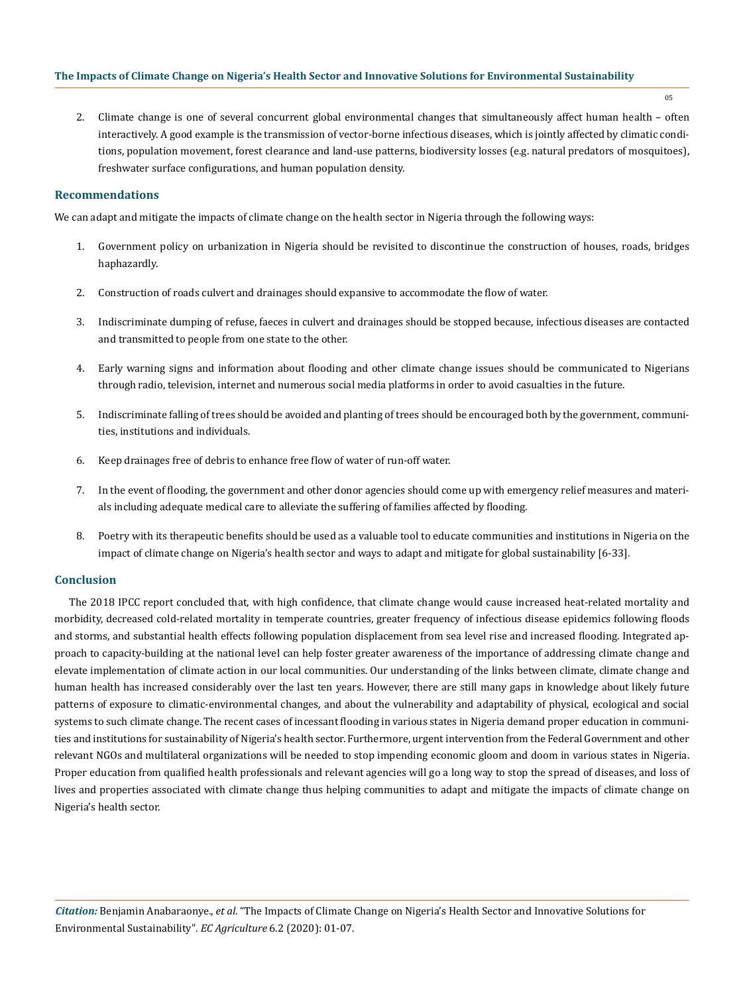2. Climate change is one of several concurrent global environmental changes that simultaneously affect human health – often interactively. A good example is the transmission of vector-borne infectious diseases, which is jointly affected by climatic conditions, population movement, forest clearance and land-use patterns, biodiversity losses (e.g. natural predators of mosquitoes), freshwater surface configurations, and human population density.

#### **Recommendations**

We can adapt and mitigate the impacts of climate change on the health sector in Nigeria through the following ways:

- 1. Government policy on urbanization in Nigeria should be revisited to discontinue the construction of houses, roads, bridges haphazardly.
- 2. Construction of roads culvert and drainages should expansive to accommodate the flow of water.
- 3. Indiscriminate dumping of refuse, faeces in culvert and drainages should be stopped because, infectious diseases are contacted and transmitted to people from one state to the other.
- 4. Early warning signs and information about flooding and other climate change issues should be communicated to Nigerians through radio, television, internet and numerous social media platforms in order to avoid casualties in the future.
- 5. Indiscriminate falling of trees should be avoided and planting of trees should be encouraged both by the government, communities, institutions and individuals.
- 6. Keep drainages free of debris to enhance free flow of water of run-off water.
- 7. In the event of flooding, the government and other donor agencies should come up with emergency relief measures and materials including adequate medical care to alleviate the suffering of families affected by flooding.
- 8. Poetry with its therapeutic benefits should be used as a valuable tool to educate communities and institutions in Nigeria on the impact of climate change on Nigeria's health sector and ways to adapt and mitigate for global sustainability [6-33].

#### **Conclusion**

The 2018 IPCC report concluded that, with high confidence, that climate change would cause increased heat-related mortality and morbidity, decreased cold-related mortality in temperate countries, greater frequency of infectious disease epidemics following floods and storms, and substantial health effects following population displacement from sea level rise and increased flooding. Integrated approach to capacity-building at the national level can help foster greater awareness of the importance of addressing climate change and elevate implementation of climate action in our local communities. Our understanding of the links between climate, climate change and human health has increased considerably over the last ten years. However, there are still many gaps in knowledge about likely future patterns of exposure to climatic-environmental changes, and about the vulnerability and adaptability of physical, ecological and social systems to such climate change. The recent cases of incessant flooding in various states in Nigeria demand proper education in communities and institutions for sustainability of Nigeria's health sector. Furthermore, urgent intervention from the Federal Government and other relevant NGOs and multilateral organizations will be needed to stop impending economic gloom and doom in various states in Nigeria. Proper education from qualified health professionals and relevant agencies will go a long way to stop the spread of diseases, and loss of lives and properties associated with climate change thus helping communities to adapt and mitigate the impacts of climate change on Nigeria's health sector.

05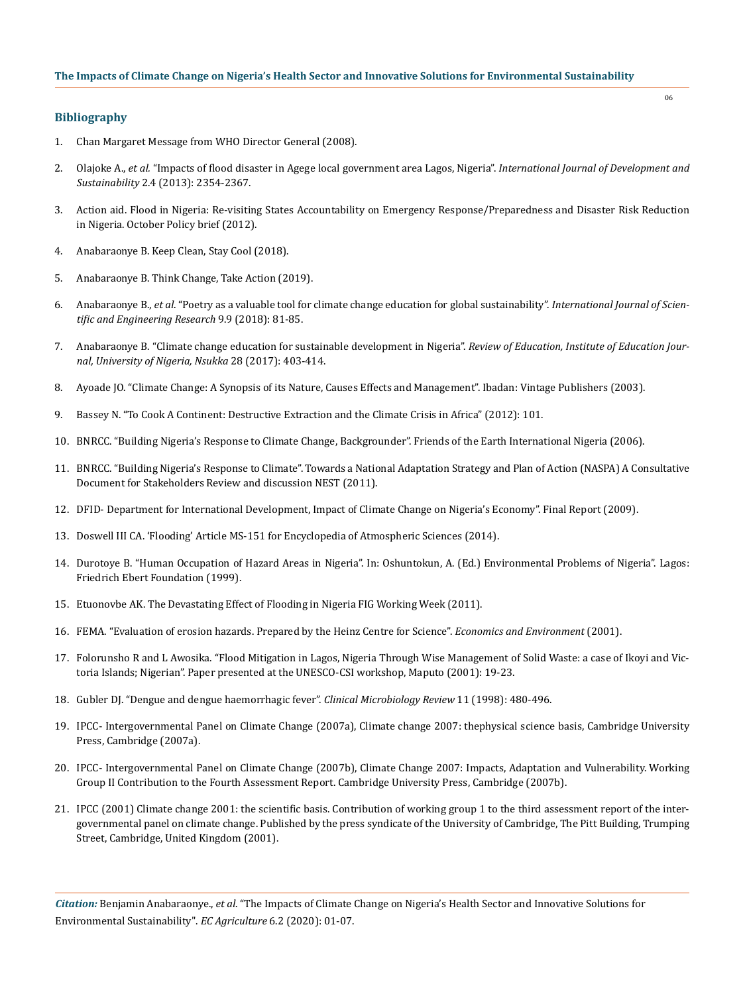## **Bibliography**

- 1. Chan Margaret Message from WHO Director General (2008).
- 2. Olajoke A., *et al.* ["Impacts of flood disaster in Agege local government area Lagos, Nigeria".](https://isdsnet.com/ijds-v2n4-13.pdf) *International Journal of Development and Sustainability* [2.4 \(2013\): 2354-2367.](https://isdsnet.com/ijds-v2n4-13.pdf)
- 3. Action aid. Flood in Nigeria: Re-visiting States Accountability on Emergency Response/Preparedness and Disaster Risk Reduction in Nigeria. October Policy brief (2012).
- 4. Anabaraonye B. Keep Clean, Stay Cool (2018).
- 5. Anabaraonye B. Think Change, Take Action (2019).
- 6. Anabaraonye B., *et al*[. "Poetry as a valuable tool for climate change education for global sustainability".](https://www.ijser.org/researchpaper/POETRY-AS-A-VALUABLE-TOOL-FOR-CLIMATE-CHANGE-EDUCATION-FOR-GLOBAL-SUSTAINABILITY.pdf) *International Journal of Scien[tific and Engineering Research](https://www.ijser.org/researchpaper/POETRY-AS-A-VALUABLE-TOOL-FOR-CLIMATE-CHANGE-EDUCATION-FOR-GLOBAL-SUSTAINABILITY.pdf)* 9.9 (2018): 81-85.
- 7. [Anabaraonye B. "Climate change education for sustainable development in Nigeria".](https://link.springer.com/referenceworkentry/10.1007%2F978-3-319-71025-9_170-1) *Review of Education, Institute of Education Jour[nal, University of Nigeria, Nsukka](https://link.springer.com/referenceworkentry/10.1007%2F978-3-319-71025-9_170-1)* 28 (2017): 403-414.
- 8. Ayoade JO. "Climate Change: A Synopsis of its Nature, Causes Effects and Management". Ibadan: Vintage Publishers (2003).
- 9. Bassey N. "To Cook A Continent: Destructive Extraction and the Climate Crisis in Africa" (2012): 101.
- 10. BNRCC. "Building Nigeria's Response to Climate Change, Backgrounder". Friends of the Earth International Nigeria (2006).
- 11. BNRCC. "Building Nigeria's Response to Climate". Towards a National Adaptation Strategy and Plan of Action (NASPA) A Consultative Document for Stakeholders Review and discussion NEST (2011).
- 12. DFID‐ Department for International Development, Impact of Climate Change on Nigeria's Economy". Final Report (2009).
- 13. Doswell III CA. 'Flooding' Article MS‐151 for Encyclopedia of Atmospheric Sciences (2014).
- 14. Durotoye B. "Human Occupation of Hazard Areas in Nigeria". In: Oshuntokun, A. (Ed.) Environmental Problems of Nigeria". Lagos: Friedrich Ebert Foundation (1999).
- 15. Etuonovbe AK. The Devastating Effect of Flooding in Nigeria FIG Working Week (2011).
- 16. [FEMA. "Evaluation of erosion hazards. Prepared by the Heinz Centre for Science".](https://www.fema.gov/pdf/library/erosion.pdf) *Economics and Environment* (2001).
- 17. Folorunsho R and L Awosika. "Flood Mitigation in Lagos, Nigeria Through Wise Management of Solid Waste: a case of Ikoyi and Victoria Islands; Nigerian". Paper presented at the UNESCO‐CSI workshop, Maputo (2001): 19‐23.
- 18. [Gubler DJ. "Dengue and dengue haemorrhagic fever".](https://www.ncbi.nlm.nih.gov/pubmed/9752834) *Clinical Microbiology Review* 11 (1998): 480-496.
- 19. IPCC- Intergovernmental Panel on Climate Change (2007a), Climate change 2007: thephysical science basis, Cambridge University Press, Cambridge (2007a).
- 20. IPCC‐ Intergovernmental Panel on Climate Change (2007b), Climate Change 2007: Impacts, Adaptation and Vulnerability. Working Group II Contribution to the Fourth Assessment Report. Cambridge University Press, Cambridge (2007b).
- 21. IPCC (2001) Climate change 2001: the scientific basis. Contribution of working group 1 to the third assessment report of the intergovernmental panel on climate change. Published by the press syndicate of the University of Cambridge, The Pitt Building, Trumping Street, Cambridge, United Kingdom (2001).

*Citation:* Benjamin Anabaraonye., *et al*. "The Impacts of Climate Change on Nigeria's Health Sector and Innovative Solutions for Environmental Sustainability". *EC Agriculture* 6.2 (2020): 01-07.

06